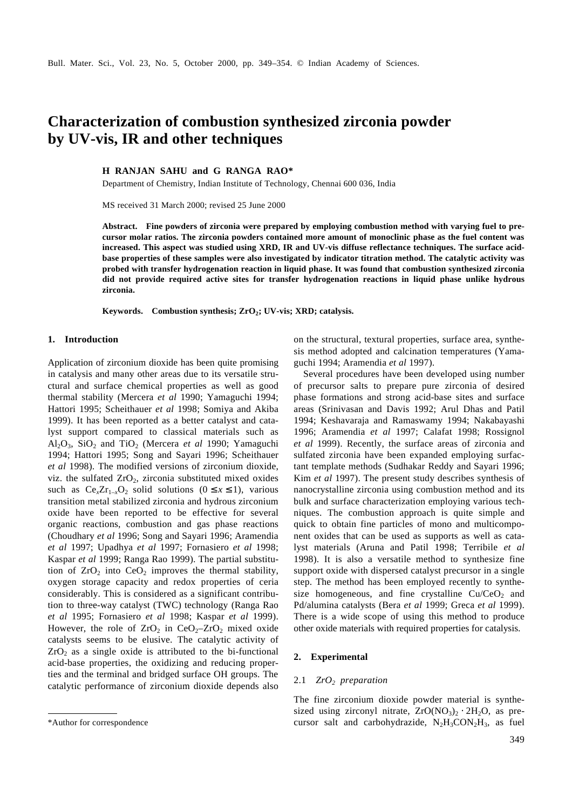# **Characterization of combustion synthesized zirconia powder by UV-vis, IR and other techniques**

**H RANJAN SAHU and G RANGA RAO\***

Department of Chemistry, Indian Institute of Technology, Chennai 600 036, India

MS received 31 March 2000; revised 25 June 2000

**Abstract. Fine powders of zirconia were prepared by employing combustion method with varying fuel to precursor molar ratios. The zirconia powders contained more amount of monoclinic phase as the fuel content was increased. This aspect was studied using XRD, IR and UV-vis diffuse reflectance techniques. The surface acidbase properties of these samples were also investigated by indicator titration method. The catalytic activity was probed with transfer hydrogenation reaction in liquid phase. It was found that combustion synthesized zirconia did not provide required active sites for transfer hydrogenation reactions in liquid phase unlike hydrous zirconia.**

**Keywords. Combustion synthesis; ZrO<sup>2</sup> ; UV-vis; XRD; catalysis.**

#### **1. Introduction**

Application of zirconium dioxide has been quite promising in catalysis and many other areas due to its versatile structural and surface chemical properties as well as good thermal stability (Mercera *et al* 1990; Yamaguchi 1994; Hattori 1995; Scheithauer *et al* 1998; Somiya and Akiba 1999). It has been reported as a better catalyst and catalyst support compared to classical materials such as Al2O3, SiO2 and TiO2 (Mercera *et al* 1990; Yamaguchi 1994; Hattori 1995; Song and Sayari 1996; Scheithauer *et al* 1998). The modified versions of zirconium dioxide, viz. the sulfated  $ZrO<sub>2</sub>$ , zirconia substituted mixed oxides such as  $Ce<sub>x</sub>Zr<sub>1-x</sub>O<sub>2</sub>$  solid solutions ( $0 \le x \le 1$ ), various transition metal stabilized zirconia and hydrous zirconium oxide have been reported to be effective for several organic reactions, combustion and gas phase reactions (Choudhary *et al* 1996; Song and Sayari 1996; Aramendia *et al* 1997; Upadhya *et al* 1997; Fornasiero *et al* 1998; Kaspar *et al* 1999; Ranga Rao 1999). The partial substitution of  $ZrO<sub>2</sub>$  into  $CeO<sub>2</sub>$  improves the thermal stability, oxygen storage capacity and redox properties of ceria considerably. This is considered as a significant contribution to three-way catalyst (TWC) technology (Ranga Rao *et al* 1995; Fornasiero *et al* 1998; Kaspar *et al* 1999). However, the role of  $ZrO<sub>2</sub>$  in CeO<sub>2</sub>– $ZrO<sub>2</sub>$  mixed oxide catalysts seems to be elusive. The catalytic activity of  $ZrO<sub>2</sub>$  as a single oxide is attributed to the bi-functional acid-base properties, the oxidizing and reducing properties and the terminal and bridged surface OH groups. The catalytic performance of zirconium dioxide depends also on the structural, textural properties, surface area, synthesis method adopted and calcination temperatures (Yamaguchi 1994; Aramendia *et al* 1997).

Several procedures have been developed using number of precursor salts to prepare pure zirconia of desired phase formations and strong acid-base sites and surface areas (Srinivasan and Davis 1992; Arul Dhas and Patil 1994; Keshavaraja and Ramaswamy 1994; Nakabayashi 1996; Aramendia *et al* 1997; Calafat 1998; Rossignol *et al* 1999). Recently, the surface areas of zirconia and sulfated zirconia have been expanded employing surfactant template methods (Sudhakar Reddy and Sayari 1996; Kim *et al* 1997). The present study describes synthesis of nanocrystalline zirconia using combustion method and its bulk and surface characterization employing various techniques. The combustion approach is quite simple and quick to obtain fine particles of mono and multicomponent oxides that can be used as supports as well as catalyst materials (Aruna and Patil 1998; Terribile *et al* 1998). It is also a versatile method to synthesize fine support oxide with dispersed catalyst precursor in a single step. The method has been employed recently to synthesize homogeneous, and fine crystalline  $Cu/CeO<sub>2</sub>$  and Pd/alumina catalysts (Bera *et al* 1999; Greca *et al* 1999). There is a wide scope of using this method to produce other oxide materials with required properties for catalysis.

## **2. Experimental**

#### 2.1 *ZrO2 preparation*

The fine zirconium dioxide powder material is synthesized using zirconyl nitrate,  $ZrO(NO<sub>3</sub>)<sub>2</sub> \cdot 2H<sub>2</sub>O$ , as pre-\*Author for correspondence cursor salt and carbohydrazide,  $N_2H_3CON_2H_3$ , as fuel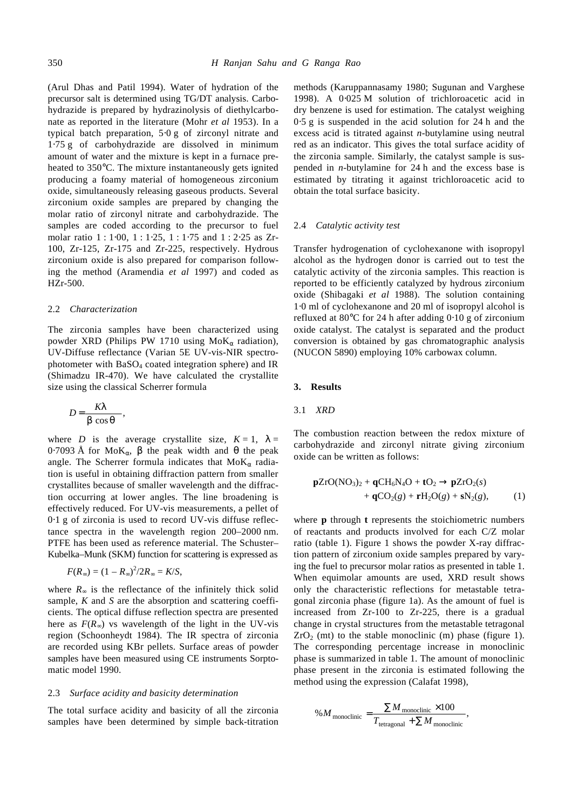(Arul Dhas and Patil 1994). Water of hydration of the precursor salt is determined using TG/DT analysis. Carbohydrazide is prepared by hydrazinolysis of diethylcarbonate as reported in the literature (Mohr *et al* 1953). In a typical batch preparation, 5⋅0 g of zirconyl nitrate and 1⋅75 g of carbohydrazide are dissolved in minimum amount of water and the mixture is kept in a furnace preheated to 350°C. The mixture instantaneously gets ignited producing a foamy material of homogeneous zirconium oxide, simultaneously releasing gaseous products. Several zirconium oxide samples are prepared by changing the molar ratio of zirconyl nitrate and carbohydrazide. The samples are coded according to the precursor to fuel molar ratio 1 : 1⋅00, 1 : 1⋅25, 1 : 1⋅75 and 1 : 2⋅25 as Zr-100, Zr-125, Zr-175 and Zr-225, respectively. Hydrous zirconium oxide is also prepared for comparison following the method (Aramendia *et al* 1997) and coded as HZr-500.

#### 2.2 *Characterization*

The zirconia samples have been characterized using powder XRD (Philips PW 1710 using  $M \circ K_{\alpha}$  radiation), UV-Diffuse reflectance (Varian 5E UV-vis-NIR spectrophotometer with  $BaSO<sub>4</sub>$  coated integration sphere) and IR (Shimadzu IR-470). We have calculated the crystallite size using the classical Scherrer formula

$$
D = \frac{Kl}{b \cos q}
$$

,

where *D* is the average crystallite size,  $K = 1$ ,  $I =$ 0⋅7093 Å for MoK*a*, *b* the peak width and *q* the peak angle. The Scherrer formula indicates that MoK*a* radiation is useful in obtaining diffraction pattern from smaller crystallites because of smaller wavelength and the diffraction occurring at lower angles. The line broadening is effectively reduced. For UV-vis measurements, a pellet of 0⋅1 g of zirconia is used to record UV-vis diffuse reflectance spectra in the wavelength region 200–2000 nm. PTFE has been used as reference material. The Schuster– Kubelka–Munk (SKM) function for scattering is expressed as

$$
F(R_\infty)=(1-R_\infty)^2/2R_\infty=K/S,
$$

where  $R_{\infty}$  is the reflectance of the infinitely thick solid sample, *K* and *S* are the absorption and scattering coefficients. The optical diffuse reflection spectra are presented here as  $F(R_\infty)$  vs wavelength of the light in the UV-vis region (Schoonheydt 1984). The IR spectra of zirconia are recorded using KBr pellets. Surface areas of powder samples have been measured using CE instruments Sorptomatic model 1990.

## 2.3 *Surface acidity and basicity determination*

The total surface acidity and basicity of all the zirconia samples have been determined by simple back-titration methods (Karuppannasamy 1980; Sugunan and Varghese 1998). A 0⋅025 M solution of trichloroacetic acid in dry benzene is used for estimation. The catalyst weighing 0⋅5 g is suspended in the acid solution for 24 h and the excess acid is titrated against *n*-butylamine using neutral red as an indicator. This gives the total surface acidity of the zirconia sample. Similarly, the catalyst sample is suspended in *n*-butylamine for 24 h and the excess base is estimated by titrating it against trichloroacetic acid to obtain the total surface basicity.

#### 2.4 *Catalytic activity test*

Transfer hydrogenation of cyclohexanone with isopropyl alcohol as the hydrogen donor is carried out to test the catalytic activity of the zirconia samples. This reaction is reported to be efficiently catalyzed by hydrous zirconium oxide (Shibagaki *et al* 1988). The solution containing 1⋅0 ml of cyclohexanone and 20 ml of isopropyl alcohol is refluxed at 80°C for 24 h after adding 0⋅10 g of zirconium oxide catalyst. The catalyst is separated and the product conversion is obtained by gas chromatographic analysis (NUCON 5890) employing 10% carbowax column.

## **3. Results**

#### 3.1 *XRD*

The combustion reaction between the redox mixture of carbohydrazide and zirconyl nitrate giving zirconium oxide can be written as follows:

$$
\mathbf{pZrO}(\text{NO}_3)_2 + \mathbf{qCH}_6\text{N}_4\text{O} + \mathbf{tO}_2 \rightarrow \mathbf{pZrO}_2(s) \n+ \mathbf{qCO}_2(g) + \mathbf{rH}_2\text{O}(g) + \mathbf{sN}_2(g),
$$
\n(1)

where **p** through **t** represents the stoichiometric numbers of reactants and products involved for each C/Z molar ratio (table 1). Figure 1 shows the powder X-ray diffraction pattern of zirconium oxide samples prepared by varying the fuel to precursor molar ratios as presented in table 1. When equimolar amounts are used. XRD result shows only the characteristic reflections for metastable tetragonal zirconia phase (figure 1a). As the amount of fuel is increased from Zr-100 to Zr-225, there is a gradual change in crystal structures from the metastable tetragonal  $ZrO<sub>2</sub>$  (mt) to the stable monoclinic (m) phase (figure 1). The corresponding percentage increase in monoclinic phase is summarized in table 1. The amount of monoclinic phase present in the zirconia is estimated following the method using the expression (Calafat 1998),

$$
\%M_{\text{monoclinic}} = \frac{\sum M_{\text{monoclinic}} \times 100}{T_{\text{tetragonal}} + \sum M_{\text{monoclinic}}},
$$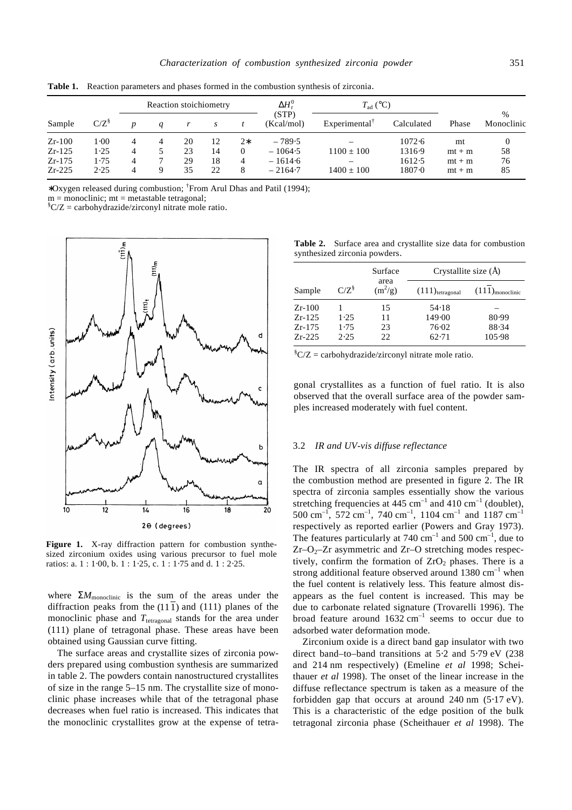| Sample   | $C/Z^8$ | Reaction stoichiometry |   |    |    |          | $\Delta H_{\rm r}^0$ | $T_{\rm ad}$ (°C)         |            |          |                             |
|----------|---------|------------------------|---|----|----|----------|----------------------|---------------------------|------------|----------|-----------------------------|
|          |         |                        |   |    | S  |          | (STP)<br>(Kcal/mol)  | Experimental <sup>†</sup> | Calculated | Phase    | $\frac{0}{0}$<br>Monoclinic |
| $Zr-100$ | 1.00    | 4                      | 4 | 20 | 12 | $2*$     | $-789.5$             |                           | 1072.6     | mt       |                             |
| $Zr-125$ | 1.25    | 4                      |   | 23 | 14 | $\Omega$ | $-1064.5$            | $1100 \pm 100$            | 1316.9     | $mt + m$ | 58                          |
| $Zr-175$ | 1.75    |                        |   | 29 | 18 | 4        | $-1614.6$            | $\overline{\phantom{m}}$  | 1612.5     | $mt + m$ | 76                          |
| $Zr-225$ | 2.25    | 4                      |   | 35 | 22 | 8        | $-2164-7$            | $1400 \pm 100$            | 1807.0     | $mt + m$ | 85                          |

**Table 1.** Reaction parameters and phases formed in the combustion synthesis of zirconia.

∗Oxygen released during combustion; † From Arul Dhas and Patil (1994);

 $m = monoclinic$ ;  $mt = metastable tetragonal$ ;

 ${}^{\$}C/Z =$  carbohydrazide/zirconyl nitrate mole ratio.



Figure 1. X-ray diffraction pattern for combustion synthesized zirconium oxides using various precursor to fuel mole ratios: a. 1 : 1⋅00, b. 1 : 1⋅25, c. 1 : 1⋅75 and d. 1 : 2⋅25.

where  $\Sigma M_{\text{monoclinic}}$  is the sum of the areas under the diffraction peaks from the  $(111)$  and  $(111)$  planes of the monoclinic phase and  $T_{\text{tetragonal}}$  stands for the area under (111) plane of tetragonal phase. These areas have been obtained using Gaussian curve fitting.

The surface areas and crystallite sizes of zirconia powders prepared using combustion synthesis are summarized in table 2. The powders contain nanostructured crystallites of size in the range 5–15 nm. The crystallite size of monoclinic phase increases while that of the tetragonal phase decreases when fuel ratio is increased. This indicates that the monoclinic crystallites grow at the expense of tetra-

**Table 2.** Surface area and crystallite size data for combustion synthesized zirconia powders.

|                      |              | Surface           | Crystallite size (Å)          |                               |  |
|----------------------|--------------|-------------------|-------------------------------|-------------------------------|--|
| Sample               | $C/Z^8$      | area<br>$(m^2/g)$ | $(111)$ <sub>tetragonal</sub> | $(111)$ <sub>monoclinic</sub> |  |
| $Zr-100$             |              | 15                | 54.18                         |                               |  |
| $Zr-125$<br>$Zr-175$ | 1.25<br>1.75 | 11<br>23          | 149.00<br>76.02               | 80.99<br>88.34                |  |
| $Zr-225$             | 2.25         | 22.               | 62.71                         | 105.98                        |  |

 ${}^{\$}C/Z =$  carbohydrazide/zirconyl nitrate mole ratio.

gonal crystallites as a function of fuel ratio. It is also observed that the overall surface area of the powder samples increased moderately with fuel content.

## 3.2 *IR and UV-vis diffuse reflectance*

The IR spectra of all zirconia samples prepared by the combustion method are presented in figure 2. The IR spectra of zirconia samples essentially show the various stretching frequencies at 445 cm<sup>-1</sup> and 410 cm<sup>-1</sup> (doublet),  $500 \text{ cm}^{-1}$ ,  $572 \text{ cm}^{-1}$ ,  $740 \text{ cm}^{-1}$ ,  $1104 \text{ cm}^{-1}$  and  $1187 \text{ cm}^{-1}$ respectively as reported earlier (Powers and Gray 1973). The features particularly at 740 cm<sup>-1</sup> and 500 cm<sup>-1</sup>, due to  $Zr-O<sub>2</sub>$ – $Zr$  asymmetric and  $Zr-O$  stretching modes respectively, confirm the formation of  $ZrO<sub>2</sub>$  phases. There is a strong additional feature observed around 1380  $cm^{-1}$  when the fuel content is relatively less. This feature almost disappears as the fuel content is increased. This may be due to carbonate related signature (Trovarelli 1996). The broad feature around  $1632 \text{ cm}^{-1}$  seems to occur due to adsorbed water deformation mode.

Zirconium oxide is a direct band gap insulator with two direct band–to–band transitions at 5⋅2 and 5⋅79 eV (238 and 214 nm respectively) (Emeline *et al* 1998; Scheithauer *et al* 1998). The onset of the linear increase in the diffuse reflectance spectrum is taken as a measure of the forbidden gap that occurs at around 240 nm (5⋅17 eV). This is a characteristic of the edge position of the bulk tetragonal zirconia phase (Scheithauer *et al* 1998). The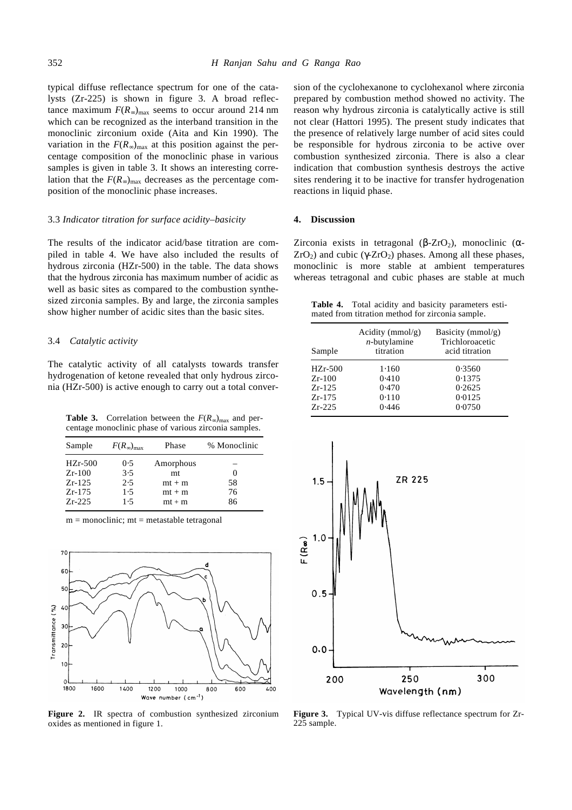typical diffuse reflectance spectrum for one of the catalysts (Zr-225) is shown in figure 3. A broad reflectance maximum  $F(R_{\infty})_{\text{max}}$  seems to occur around 214 nm which can be recognized as the interband transition in the monoclinic zirconium oxide (Aita and Kin 1990). The variation in the  $F(R_{\infty})_{\text{max}}$  at this position against the percentage composition of the monoclinic phase in various samples is given in table 3. It shows an interesting correlation that the  $F(R_{\infty})_{\text{max}}$  decreases as the percentage composition of the monoclinic phase increases.

#### 3.3 *Indicator titration for surface acidity–basicity*

The results of the indicator acid/base titration are compiled in table 4. We have also included the results of hydrous zirconia (HZr-500) in the table. The data shows that the hydrous zirconia has maximum number of acidic as well as basic sites as compared to the combustion synthesized zirconia samples. By and large, the zirconia samples show higher number of acidic sites than the basic sites.

## 3.4 *Catalytic activity*

The catalytic activity of all catalysts towards transfer hydrogenation of ketone revealed that only hydrous zirconia (HZr-500) is active enough to carry out a total conver-

**Table 3.** Correlation between the  $F(R_{\infty})_{\text{max}}$  and percentage monoclinic phase of various zirconia samples.

| Sample    | $F(R_\infty)_{\max}$ | Phase     | % Monoclinic |
|-----------|----------------------|-----------|--------------|
| $HZr-500$ | 0.5                  | Amorphous |              |
| $Zr-100$  | 3.5                  | mt        |              |
| $Zr-125$  | 2.5                  | $mt + m$  | 58           |
| $Zr-175$  | 1.5                  | $mt + m$  | 76           |
| $Zr-225$  | 1.5                  | $mt + m$  | 86           |

 $m = monoclinic$ ;  $mt = metastable tetragonal$ 



**Figure 2.** IR spectra of combustion synthesized zirconium oxides as mentioned in figure 1.

sion of the cyclohexanone to cyclohexanol where zirconia prepared by combustion method showed no activity. The reason why hydrous zirconia is catalytically active is still not clear (Hattori 1995). The present study indicates that the presence of relatively large number of acid sites could be responsible for hydrous zirconia to be active over combustion synthesized zirconia. There is also a clear indication that combustion synthesis destroys the active sites rendering it to be inactive for transfer hydrogenation reactions in liquid phase.

#### **4. Discussion**

Zirconia exists in tetragonal  $(b-ZrO<sub>2</sub>)$ , monoclinic  $(a-z)$  $ZrO<sub>2</sub>$ ) and cubic ( $ZrO<sub>2</sub>$ ) phases. Among all these phases, monoclinic is more stable at ambient temperatures whereas tetragonal and cubic phases are stable at much

**Table 4.** Total acidity and basicity parameters estimated from titration method for zirconia sample.

| Sample    | Acidity ( $mmol/g$ )<br>$n$ -butylamine<br>titration | Basicity (mmol/g)<br>Trichloroacetic<br>acid titration |
|-----------|------------------------------------------------------|--------------------------------------------------------|
| $HZr-500$ | 1.160                                                | 0.3560                                                 |
| $Zr-100$  | 0.410                                                | 0.1375                                                 |
| $Zr-125$  | 0.470                                                | 0.2625                                                 |
| $Zr-175$  | 0.110                                                | 0.0125                                                 |
| $Zr-225$  | 0.446                                                | 0.0750                                                 |



**Figure 3.** Typical UV-vis diffuse reflectance spectrum for Zr-225 sample.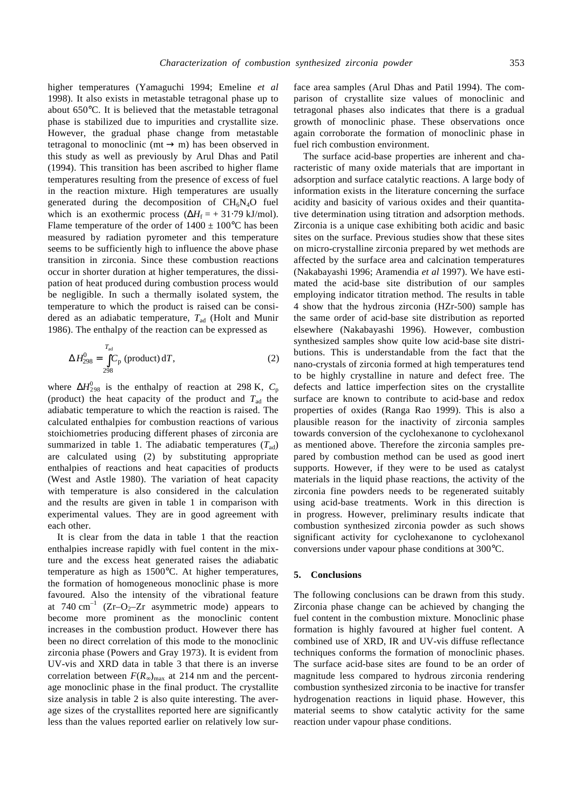higher temperatures (Yamaguchi 1994; Emeline *et al* 1998). It also exists in metastable tetragonal phase up to about 650°C. It is believed that the metastable tetragonal phase is stabilized due to impurities and crystallite size. However, the gradual phase change from metastable tetragonal to monoclinic (mt  $\rightarrow$  m) has been observed in this study as well as previously by Arul Dhas and Patil (1994). This transition has been ascribed to higher flame temperatures resulting from the presence of excess of fuel in the reaction mixture. High temperatures are usually generated during the decomposition of  $CH_6N_4O$  fuel which is an exothermic process  $(\Delta H_f = +31.79 \text{ kJ/mol})$ . Flame temperature of the order of  $1400 \pm 100^{\circ}$ C has been measured by radiation pyrometer and this temperature seems to be sufficiently high to influence the above phase transition in zirconia. Since these combustion reactions occur in shorter duration at higher temperatures, the dissipation of heat produced during combustion process would be negligible. In such a thermally isolated system, the temperature to which the product is raised can be considered as an adiabatic temperature,  $T<sub>ad</sub>$  (Holt and Munir 1986). The enthalpy of the reaction can be expressed as

$$
\Delta H_{298}^{0} = \int_{298}^{T_{\text{ad}}} C_{\text{p}} \text{ (product) d}T,
$$
 (2)

where  $\Delta H_{298}^0$  is the enthalpy of reaction at 298 K,  $C_p$ (product) the heat capacity of the product and  $T<sub>ad</sub>$  the adiabatic temperature to which the reaction is raised. The calculated enthalpies for combustion reactions of various stoichiometries producing different phases of zirconia are summarized in table 1. The adiabatic temperatures  $(T_{ad})$ are calculated using (2) by substituting appropriate enthalpies of reactions and heat capacities of products (West and Astle 1980). The variation of heat capacity with temperature is also considered in the calculation and the results are given in table 1 in comparison with experimental values. They are in good agreement with each other.

It is clear from the data in table 1 that the reaction enthalpies increase rapidly with fuel content in the mixture and the excess heat generated raises the adiabatic temperature as high as 1500°C. At higher temperatures, the formation of homogeneous monoclinic phase is more favoured. Also the intensity of the vibrational feature at 740 cm<sup>-1</sup> (Zr-O<sub>2</sub>-Zr asymmetric mode) appears to become more prominent as the monoclinic content increases in the combustion product. However there has been no direct correlation of this mode to the monoclinic zirconia phase (Powers and Gray 1973). It is evident from UV-vis and XRD data in table 3 that there is an inverse correlation between  $F(R_{\infty})_{\text{max}}$  at 214 nm and the percentage monoclinic phase in the final product. The crystallite size analysis in table 2 is also quite interesting. The average sizes of the crystallites reported here are significantly less than the values reported earlier on relatively low surface area samples (Arul Dhas and Patil 1994). The comparison of crystallite size values of monoclinic and tetragonal phases also indicates that there is a gradual growth of monoclinic phase. These observations once again corroborate the formation of monoclinic phase in fuel rich combustion environment.

The surface acid-base properties are inherent and characteristic of many oxide materials that are important in adsorption and surface catalytic reactions. A large body of information exists in the literature concerning the surface acidity and basicity of various oxides and their quantitative determination using titration and adsorption methods. Zirconia is a unique case exhibiting both acidic and basic sites on the surface. Previous studies show that these sites on micro-crystalline zirconia prepared by wet methods are affected by the surface area and calcination temperatures (Nakabayashi 1996; Aramendia *et al* 1997). We have estimated the acid-base site distribution of our samples employing indicator titration method. The results in table 4 show that the hydrous zirconia (HZr-500) sample has the same order of acid-base site distribution as reported elsewhere (Nakabayashi 1996). However, combustion synthesized samples show quite low acid-base site distributions. This is understandable from the fact that the nano-crystals of zirconia formed at high temperatures tend to be highly crystalline in nature and defect free. The defects and lattice imperfection sites on the crystallite surface are known to contribute to acid-base and redox properties of oxides (Ranga Rao 1999). This is also a plausible reason for the inactivity of zirconia samples towards conversion of the cyclohexanone to cyclohexanol as mentioned above. Therefore the zirconia samples prepared by combustion method can be used as good inert supports. However, if they were to be used as catalyst materials in the liquid phase reactions, the activity of the zirconia fine powders needs to be regenerated suitably using acid-base treatments. Work in this direction is in progress. However, preliminary results indicate that combustion synthesized zirconia powder as such shows significant activity for cyclohexanone to cyclohexanol conversions under vapour phase conditions at 300°C.

## **5. Conclusions**

The following conclusions can be drawn from this study. Zirconia phase change can be achieved by changing the fuel content in the combustion mixture. Monoclinic phase formation is highly favoured at higher fuel content. A combined use of XRD, IR and UV-vis diffuse reflectance techniques conforms the formation of monoclinic phases. The surface acid-base sites are found to be an order of magnitude less compared to hydrous zirconia rendering combustion synthesized zirconia to be inactive for transfer hydrogenation reactions in liquid phase. However, this material seems to show catalytic activity for the same reaction under vapour phase conditions.